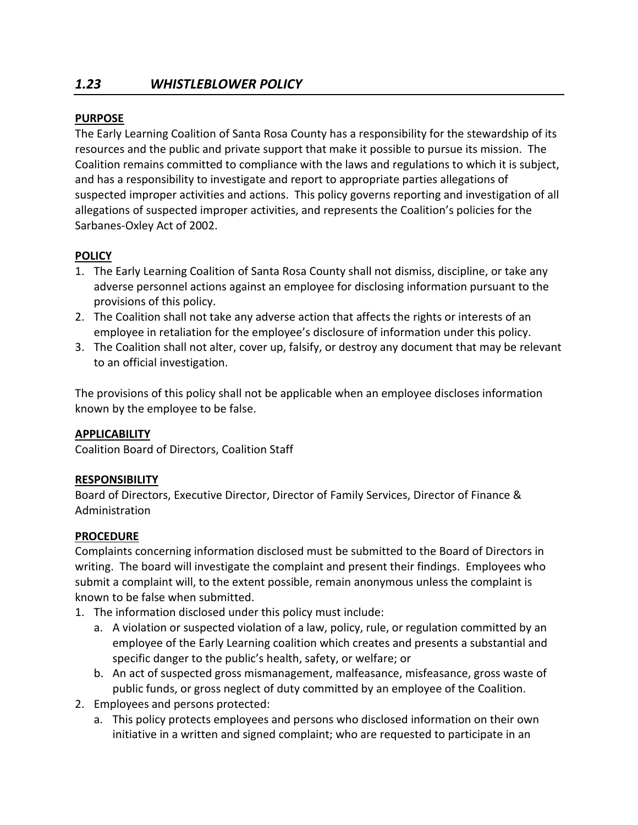## **PURPOSE**

The Early Learning Coalition of Santa Rosa County has a responsibility for the stewardship of its resources and the public and private support that make it possible to pursue its mission. The Coalition remains committed to compliance with the laws and regulations to which it is subject, and has a responsibility to investigate and report to appropriate parties allegations of suspected improper activities and actions. This policy governs reporting and investigation of all allegations of suspected improper activities, and represents the Coalition's policies for the Sarbanes-Oxley Act of 2002.

# **POLICY**

- 1. The Early Learning Coalition of Santa Rosa County shall not dismiss, discipline, or take any adverse personnel actions against an employee for disclosing information pursuant to the provisions of this policy.
- 2. The Coalition shall not take any adverse action that affects the rights or interests of an employee in retaliation for the employee's disclosure of information under this policy.
- 3. The Coalition shall not alter, cover up, falsify, or destroy any document that may be relevant to an official investigation.

The provisions of this policy shall not be applicable when an employee discloses information known by the employee to be false.

# **APPLICABILITY**

Coalition Board of Directors, Coalition Staff

# **RESPONSIBILITY**

Board of Directors, Executive Director, Director of Family Services, Director of Finance & Administration

# **PROCEDURE**

Complaints concerning information disclosed must be submitted to the Board of Directors in writing. The board will investigate the complaint and present their findings. Employees who submit a complaint will, to the extent possible, remain anonymous unless the complaint is known to be false when submitted.

- 1. The information disclosed under this policy must include:
	- a. A violation or suspected violation of a law, policy, rule, or regulation committed by an employee of the Early Learning coalition which creates and presents a substantial and specific danger to the public's health, safety, or welfare; or
	- b. An act of suspected gross mismanagement, malfeasance, misfeasance, gross waste of public funds, or gross neglect of duty committed by an employee of the Coalition.
- 2. Employees and persons protected:
	- a. This policy protects employees and persons who disclosed information on their own initiative in a written and signed complaint; who are requested to participate in an